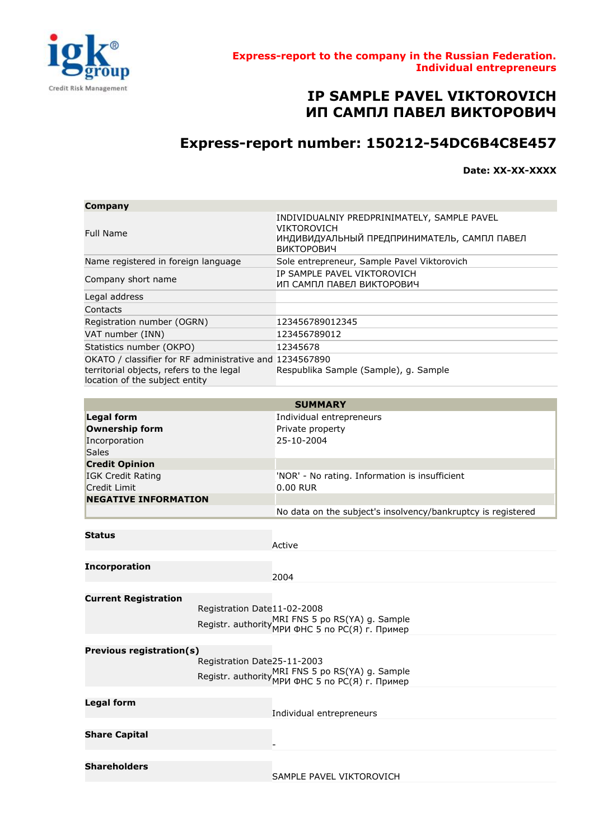

## **IP SAMPLE PAVEL VIKTOROVICH ИП САМПЛ ПАВЕЛ ВИКТОРОВИЧ**

## **Express-report number: 150212-54DC6B4C8E457**

**Date: XX-XX-XXXX**

| Company                                                                                                                               |                                                                                                                                |
|---------------------------------------------------------------------------------------------------------------------------------------|--------------------------------------------------------------------------------------------------------------------------------|
| <b>Full Name</b>                                                                                                                      | INDIVIDUALNIY PREDPRINIMATELY, SAMPLE PAVEL<br>VIKTOROVICH<br>ИНДИВИДУАЛЬНЫЙ ПРЕДПРИНИМАТЕЛЬ, САМПЛ ПАВЕЛ<br><b>ВИКТОРОВИЧ</b> |
| Name registered in foreign language                                                                                                   | Sole entrepreneur, Sample Pavel Viktorovich                                                                                    |
| Company short name                                                                                                                    | IP SAMPLE PAVEL VIKTOROVICH<br>ИП САМПЛ ПАВЕЛ ВИКТОРОВИЧ                                                                       |
| Legal address                                                                                                                         |                                                                                                                                |
| Contacts                                                                                                                              |                                                                                                                                |
| Registration number (OGRN)                                                                                                            | 123456789012345                                                                                                                |
| VAT number (INN)                                                                                                                      | 123456789012                                                                                                                   |
| Statistics number (OKPO)                                                                                                              | 12345678                                                                                                                       |
| OKATO / classifier for RF administrative and 1234567890<br>territorial objects, refers to the legal<br>location of the subject entity | Respublika Sample (Sample), g. Sample                                                                                          |

|                                 |                             | <b>SUMMARY</b>                                                                                      |
|---------------------------------|-----------------------------|-----------------------------------------------------------------------------------------------------|
| <b>Legal form</b>               |                             | Individual entrepreneurs                                                                            |
| <b>Ownership form</b>           |                             | Private property                                                                                    |
| Incorporation                   |                             | 25-10-2004                                                                                          |
| <b>Sales</b>                    |                             |                                                                                                     |
| <b>Credit Opinion</b>           |                             |                                                                                                     |
| <b>IGK Credit Rating</b>        |                             | 'NOR' - No rating. Information is insufficient                                                      |
| <b>Credit Limit</b>             |                             | 0.00 RUR                                                                                            |
| <b>NEGATIVE INFORMATION</b>     |                             |                                                                                                     |
|                                 |                             | No data on the subject's insolvency/bankruptcy is registered                                        |
|                                 |                             |                                                                                                     |
| <b>Status</b>                   |                             |                                                                                                     |
|                                 |                             | Active                                                                                              |
|                                 |                             |                                                                                                     |
| <b>Incorporation</b>            |                             | 2004                                                                                                |
|                                 |                             |                                                                                                     |
| <b>Current Registration</b>     |                             |                                                                                                     |
|                                 | Registration Date11-02-2008 |                                                                                                     |
|                                 |                             | Registr. authority MRI FNS 5 po RS(YA) g. Sample<br>Registr. authority MPИ ФНС 5 по РС(Я) г. Пример |
|                                 |                             |                                                                                                     |
|                                 |                             |                                                                                                     |
| <b>Previous registration(s)</b> | Registration Date25-11-2003 |                                                                                                     |
|                                 |                             |                                                                                                     |
|                                 |                             | Registr. authority MRI FNS 5 po RS(YA) g. Sample<br>Registr. authority MPИ ФНС 5 по РС(Я) г. Пример |
|                                 |                             |                                                                                                     |
| <b>Legal form</b>               |                             |                                                                                                     |
|                                 |                             | Individual entrepreneurs                                                                            |
|                                 |                             |                                                                                                     |
| <b>Share Capital</b>            |                             |                                                                                                     |
|                                 |                             |                                                                                                     |
| <b>Shareholders</b>             |                             |                                                                                                     |
|                                 |                             | SAMPLE PAVEL VIKTOROVICH                                                                            |
|                                 |                             |                                                                                                     |